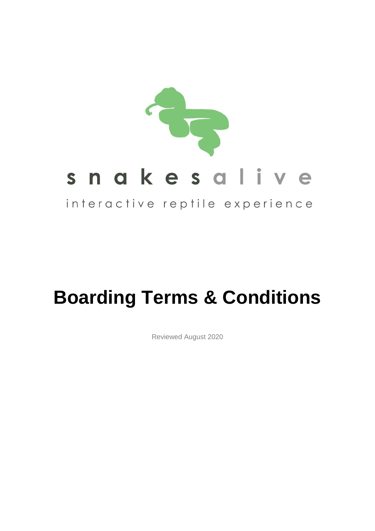

# **Boarding Terms & Conditions**

Reviewed August 2020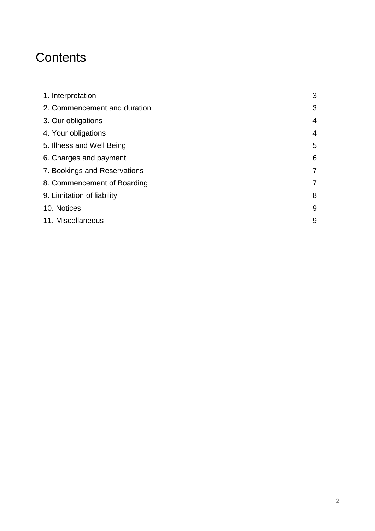# **Contents**

| 1. Interpretation            | 3 |
|------------------------------|---|
| 2. Commencement and duration | 3 |
| 3. Our obligations           | 4 |
| 4. Your obligations          | 4 |
| 5. Illness and Well Being    | 5 |
| 6. Charges and payment       | 6 |
| 7. Bookings and Reservations | 7 |
| 8. Commencement of Boarding  | 7 |
| 9. Limitation of liability   | 8 |
| 10. Notices                  | 9 |
| 11. Miscellaneous            | 9 |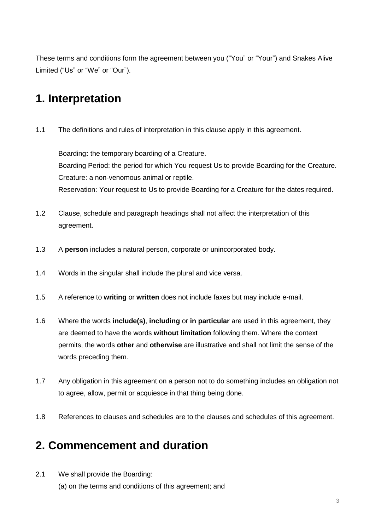These terms and conditions form the agreement between you ("You" or "Your") and Snakes Alive Limited ("Us" or "We" or "Our").

#### **1. Interpretation**

1.1 The definitions and rules of interpretation in this clause apply in this agreement.

Boarding**:** the temporary boarding of a Creature. Boarding Period: the period for which You request Us to provide Boarding for the Creature. Creature: a non-venomous animal or reptile. Reservation: Your request to Us to provide Boarding for a Creature for the dates required.

- 1.2 Clause, schedule and paragraph headings shall not affect the interpretation of this agreement.
- 1.3 A **person** includes a natural person, corporate or unincorporated body.
- 1.4 Words in the singular shall include the plural and vice versa.
- 1.5 A reference to **writing** or **written** does not include faxes but may include e-mail.
- 1.6 Where the words **include(s)**, **including** or **in particular** are used in this agreement, they are deemed to have the words **without limitation** following them. Where the context permits, the words **other** and **otherwise** are illustrative and shall not limit the sense of the words preceding them.
- 1.7 Any obligation in this agreement on a person not to do something includes an obligation not to agree, allow, permit or acquiesce in that thing being done.
- 1.8 References to clauses and schedules are to the clauses and schedules of this agreement.

#### **2. Commencement and duration**

2.1 We shall provide the Boarding:

(a) on the terms and conditions of this agreement; and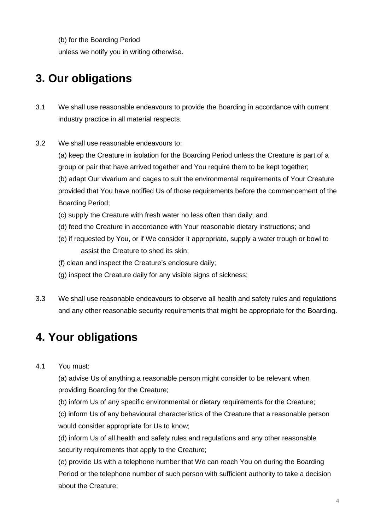(b) for the Boarding Period

unless we notify you in writing otherwise.

### **3. Our obligations**

- 3.1 We shall use reasonable endeavours to provide the Boarding in accordance with current industry practice in all material respects.
- 3.2 We shall use reasonable endeavours to:

(a) keep the Creature in isolation for the Boarding Period unless the Creature is part of a group or pair that have arrived together and You require them to be kept together; (b) adapt Our vivarium and cages to suit the environmental requirements of Your Creature provided that You have notified Us of those requirements before the commencement of the Boarding Period;

- (c) supply the Creature with fresh water no less often than daily; and
- (d) feed the Creature in accordance with Your reasonable dietary instructions; and
- (e) if requested by You, or if We consider it appropriate, supply a water trough or bowl to assist the Creature to shed its skin;
- (f) clean and inspect the Creature's enclosure daily;
- (g) inspect the Creature daily for any visible signs of sickness;
- 3.3 We shall use reasonable endeavours to observe all health and safety rules and regulations and any other reasonable security requirements that might be appropriate for the Boarding.

#### **4. Your obligations**

#### 4.1 You must:

(a) advise Us of anything a reasonable person might consider to be relevant when providing Boarding for the Creature;

(b) inform Us of any specific environmental or dietary requirements for the Creature;

(c) inform Us of any behavioural characteristics of the Creature that a reasonable person would consider appropriate for Us to know;

(d) inform Us of all health and safety rules and regulations and any other reasonable security requirements that apply to the Creature;

(e) provide Us with a telephone number that We can reach You on during the Boarding Period or the telephone number of such person with sufficient authority to take a decision about the Creature;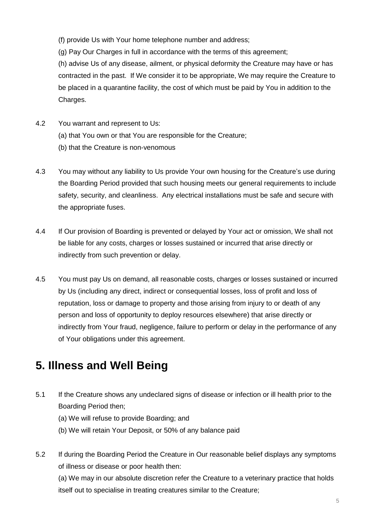(f) provide Us with Your home telephone number and address;

(g) Pay Our Charges in full in accordance with the terms of this agreement;

(h) advise Us of any disease, ailment, or physical deformity the Creature may have or has contracted in the past. If We consider it to be appropriate, We may require the Creature to be placed in a quarantine facility, the cost of which must be paid by You in addition to the Charges.

- 4.2 You warrant and represent to Us:
	- (a) that You own or that You are responsible for the Creature;
	- (b) that the Creature is non-venomous
- 4.3 You may without any liability to Us provide Your own housing for the Creature's use during the Boarding Period provided that such housing meets our general requirements to include safety, security, and cleanliness. Any electrical installations must be safe and secure with the appropriate fuses.
- 4.4 If Our provision of Boarding is prevented or delayed by Your act or omission, We shall not be liable for any costs, charges or losses sustained or incurred that arise directly or indirectly from such prevention or delay.
- 4.5 You must pay Us on demand, all reasonable costs, charges or losses sustained or incurred by Us (including any direct, indirect or consequential losses, loss of profit and loss of reputation, loss or damage to property and those arising from injury to or death of any person and loss of opportunity to deploy resources elsewhere) that arise directly or indirectly from Your fraud, negligence, failure to perform or delay in the performance of any of Your obligations under this agreement.

#### **5. Illness and Well Being**

- 5.1 If the Creature shows any undeclared signs of disease or infection or ill health prior to the Boarding Period then;
	- (a) We will refuse to provide Boarding; and
	- (b) We will retain Your Deposit, or 50% of any balance paid
- 5.2 If during the Boarding Period the Creature in Our reasonable belief displays any symptoms of illness or disease or poor health then:

(a) We may in our absolute discretion refer the Creature to a veterinary practice that holds itself out to specialise in treating creatures similar to the Creature;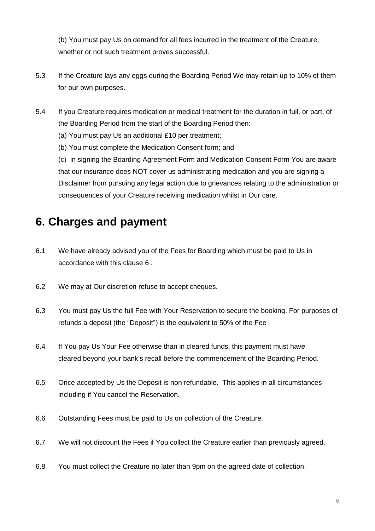(b) You must pay Us on demand for all fees incurred in the treatment of the Creature, whether or not such treatment proves successful.

- 5.3 If the Creature lays any eggs during the Boarding Period We may retain up to 10% of them for our own purposes.
- 5.4 If you Creature requires medication or medical treatment for the duration in full, or part, of the Boarding Period from the start of the Boarding Period then:
	- (a) You must pay Us an additional £10 per treatment;
	- (b) You must complete the Medication Consent form; and

(c) in signing the Boarding Agreement Form and Medication Consent Form You are aware that our insurance does NOT cover us administrating medication and you are signing a Disclaimer from pursuing any legal action due to grievances relating to the administration or consequences of your Creature receiving medication whilst in Our care.

#### **6. Charges and payment**

- 6.1 We have already advised you of the Fees for Boarding which must be paid to Us in accordance with this clause 6 .
- 6.2 We may at Our discretion refuse to accept cheques.
- 6.3 You must pay Us the full Fee with Your Reservation to secure the booking. For purposes of refunds a deposit (the "Deposit") is the equivalent to 50% of the Fee
- 6.4 If You pay Us Your Fee otherwise than in cleared funds, this payment must have cleared beyond your bank's recall before the commencement of the Boarding Period.
- 6.5 Once accepted by Us the Deposit is non refundable. This applies in all circumstances including if You cancel the Reservation.
- 6.6 Outstanding Fees must be paid to Us on collection of the Creature.
- 6.7 We will not discount the Fees if You collect the Creature earlier than previously agreed.
- 6.8 You must collect the Creature no later than 9pm on the agreed date of collection.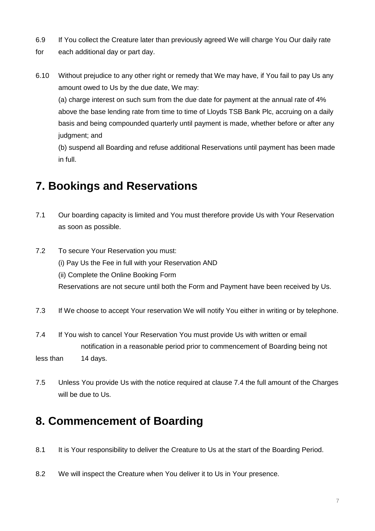- 6.9 If You collect the Creature later than previously agreed We will charge You Our daily rate
- for each additional day or part day.
- 6.10 Without prejudice to any other right or remedy that We may have, if You fail to pay Us any amount owed to Us by the due date, We may:

(a) charge interest on such sum from the due date for payment at the annual rate of 4% above the base lending rate from time to time of Lloyds TSB Bank Plc, accruing on a daily basis and being compounded quarterly until payment is made, whether before or after any judgment; and

(b) suspend all Boarding and refuse additional Reservations until payment has been made in full.

#### **7. Bookings and Reservations**

- 7.1 Our boarding capacity is limited and You must therefore provide Us with Your Reservation as soon as possible.
- 7.2 To secure Your Reservation you must: (i) Pay Us the Fee in full with your Reservation AND (ii) Complete the Online Booking Form Reservations are not secure until both the Form and Payment have been received by Us.
- 7.3 If We choose to accept Your reservation We will notify You either in writing or by telephone.
- 7.4 If You wish to cancel Your Reservation You must provide Us with written or email notification in a reasonable period prior to commencement of Boarding being not less than 14 days.
- 7.5 Unless You provide Us with the notice required at clause 7.4 the full amount of the Charges will be due to Us.

#### **8. Commencement of Boarding**

- 8.1 It is Your responsibility to deliver the Creature to Us at the start of the Boarding Period.
- 8.2 We will inspect the Creature when You deliver it to Us in Your presence.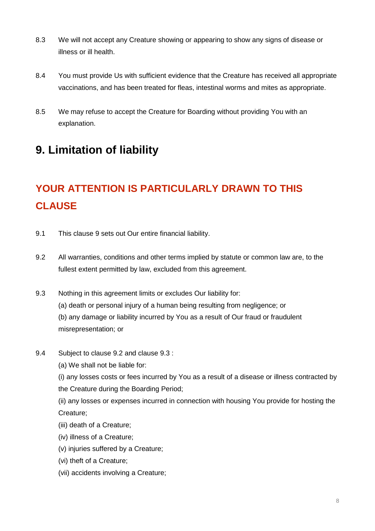- 8.3 We will not accept any Creature showing or appearing to show any signs of disease or illness or ill health.
- 8.4 You must provide Us with sufficient evidence that the Creature has received all appropriate vaccinations, and has been treated for fleas, intestinal worms and mites as appropriate.
- 8.5 We may refuse to accept the Creature for Boarding without providing You with an explanation.

#### **9. Limitation of liability**

## **YOUR ATTENTION IS PARTICULARLY DRAWN TO THIS CLAUSE**

- 9.1 This clause 9 sets out Our entire financial liability.
- 9.2 All warranties, conditions and other terms implied by statute or common law are, to the fullest extent permitted by law, excluded from this agreement.
- 9.3 Nothing in this agreement limits or excludes Our liability for: (a) death or personal injury of a human being resulting from negligence; or (b) any damage or liability incurred by You as a result of Our fraud or fraudulent misrepresentation; or
- 9.4 Subject to clause 9.2 and clause 9.3 :
	- (a) We shall not be liable for:
	- (i) any losses costs or fees incurred by You as a result of a disease or illness contracted by the Creature during the Boarding Period;
	- (ii) any losses or expenses incurred in connection with housing You provide for hosting the Creature;
	- (iii) death of a Creature;
	- (iv) illness of a Creature;
	- (v) injuries suffered by a Creature;
	- (vi) theft of a Creature;
	- (vii) accidents involving a Creature;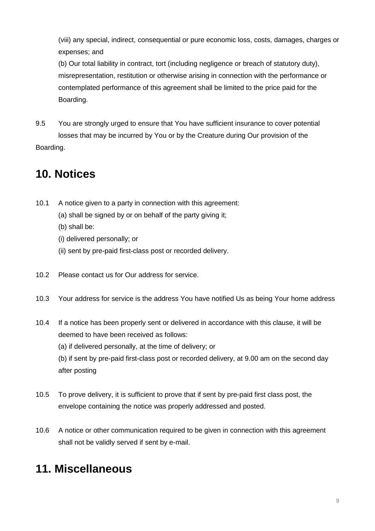(viii) any special, indirect, consequential or pure economic loss, costs, damages, charges or expenses; and

(b) Our total liability in contract, tort (including negligence or breach of statutory duty), misrepresentation, restitution or otherwise arising in connection with the performance or contemplated performance of this agreement shall be limited to the price paid for the Boarding.

9.5 You are strongly urged to ensure that You have sufficient insurance to cover potential losses that may be incurred by You or by the Creature during Our provision of the Boarding.

#### **10. Notices**

- 10.1 A notice given to a party in connection with this agreement:
	- (a) shall be signed by or on behalf of the party giving it;
	- (b) shall be:
	- (i) delivered personally; or
	- (ii) sent by pre-paid first-class post or recorded delivery.
- 10.2 Please contact us for Our address for service.
- 10.3 Your address for service is the address You have notified Us as being Your home address
- 10.4 If a notice has been properly sent or delivered in accordance with this clause, it will be deemed to have been received as follows:
	- (a) if delivered personally, at the time of delivery; or

(b) if sent by pre-paid first-class post or recorded delivery, at 9.00 am on the second day after posting

- 10.5 To prove delivery, it is sufficient to prove that if sent by pre-paid first class post, the envelope containing the notice was properly addressed and posted.
- 10.6 A notice or other communication required to be given in connection with this agreement shall not be validly served if sent by e-mail.

#### **11. Miscellaneous**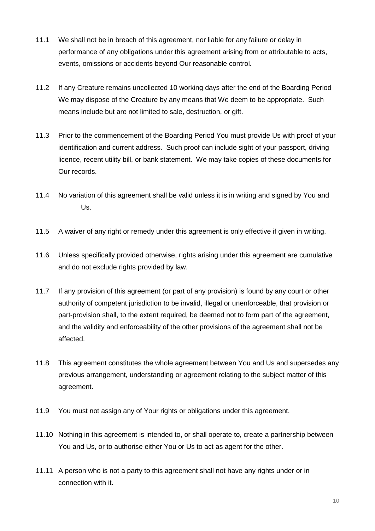- 11.1 We shall not be in breach of this agreement, nor liable for any failure or delay in performance of any obligations under this agreement arising from or attributable to acts, events, omissions or accidents beyond Our reasonable control.
- 11.2 If any Creature remains uncollected 10 working days after the end of the Boarding Period We may dispose of the Creature by any means that We deem to be appropriate. Such means include but are not limited to sale, destruction, or gift.
- 11.3 Prior to the commencement of the Boarding Period You must provide Us with proof of your identification and current address. Such proof can include sight of your passport, driving licence, recent utility bill, or bank statement. We may take copies of these documents for Our records.
- 11.4 No variation of this agreement shall be valid unless it is in writing and signed by You and Us.
- 11.5 A waiver of any right or remedy under this agreement is only effective if given in writing.
- 11.6 Unless specifically provided otherwise, rights arising under this agreement are cumulative and do not exclude rights provided by law.
- 11.7 If any provision of this agreement (or part of any provision) is found by any court or other authority of competent jurisdiction to be invalid, illegal or unenforceable, that provision or part-provision shall, to the extent required, be deemed not to form part of the agreement, and the validity and enforceability of the other provisions of the agreement shall not be affected.
- 11.8 This agreement constitutes the whole agreement between You and Us and supersedes any previous arrangement, understanding or agreement relating to the subject matter of this agreement.
- 11.9 You must not assign any of Your rights or obligations under this agreement.
- 11.10 Nothing in this agreement is intended to, or shall operate to, create a partnership between You and Us, or to authorise either You or Us to act as agent for the other.
- 11.11 A person who is not a party to this agreement shall not have any rights under or in connection with it.